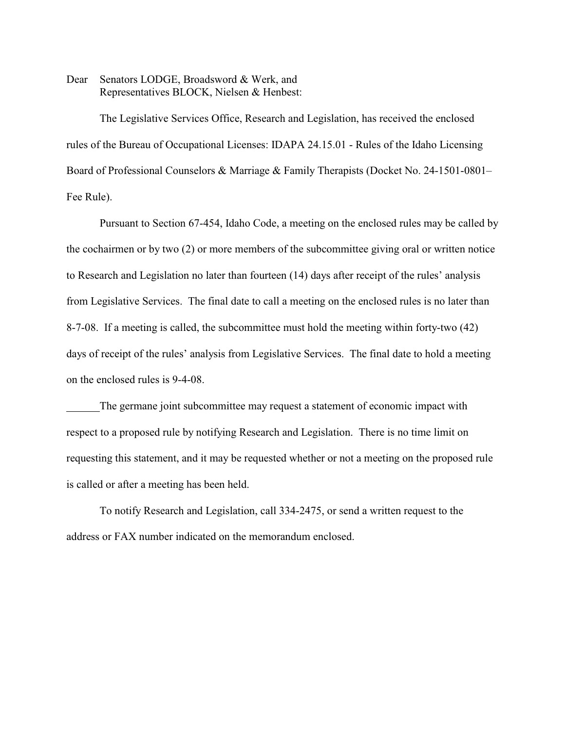Dear Senators LODGE, Broadsword & Werk, and Representatives BLOCK, Nielsen & Henbest:

The Legislative Services Office, Research and Legislation, has received the enclosed rules of the Bureau of Occupational Licenses: IDAPA 24.15.01 - Rules of the Idaho Licensing Board of Professional Counselors & Marriage & Family Therapists (Docket No. 24-1501-0801– Fee Rule).

Pursuant to Section 67-454, Idaho Code, a meeting on the enclosed rules may be called by the cochairmen or by two (2) or more members of the subcommittee giving oral or written notice to Research and Legislation no later than fourteen (14) days after receipt of the rules' analysis from Legislative Services. The final date to call a meeting on the enclosed rules is no later than 8-7-08. If a meeting is called, the subcommittee must hold the meeting within forty-two (42) days of receipt of the rules' analysis from Legislative Services. The final date to hold a meeting on the enclosed rules is 9-4-08.

The germane joint subcommittee may request a statement of economic impact with respect to a proposed rule by notifying Research and Legislation. There is no time limit on requesting this statement, and it may be requested whether or not a meeting on the proposed rule is called or after a meeting has been held.

To notify Research and Legislation, call 334-2475, or send a written request to the address or FAX number indicated on the memorandum enclosed.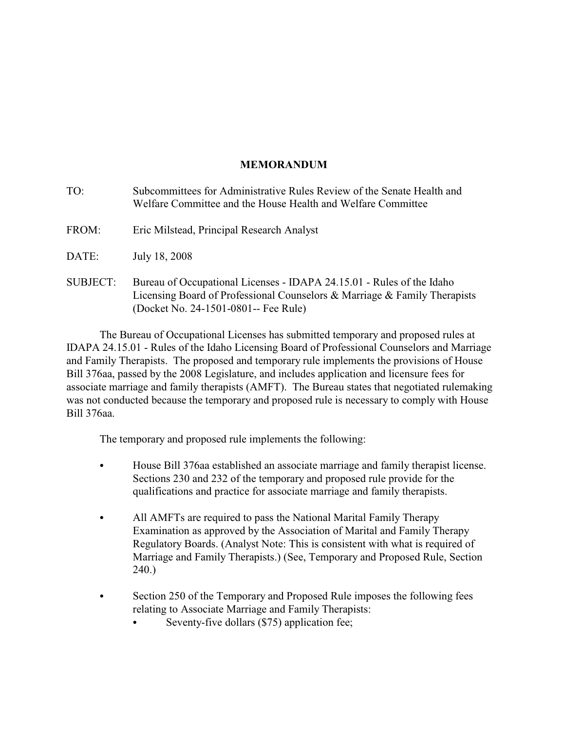# **MEMORANDUM**

| TO:             | Subcommittees for Administrative Rules Review of the Senate Health and<br>Welfare Committee and the House Health and Welfare Committee                                                     |
|-----------------|--------------------------------------------------------------------------------------------------------------------------------------------------------------------------------------------|
| FROM:           | Eric Milstead, Principal Research Analyst                                                                                                                                                  |
| DATE:           | July 18, 2008                                                                                                                                                                              |
| <b>SUBJECT:</b> | Bureau of Occupational Licenses - IDAPA 24.15.01 - Rules of the Idaho<br>Licensing Board of Professional Counselors & Marriage & Family Therapists<br>(Docket No. 24-1501-0801-- Fee Rule) |

The Bureau of Occupational Licenses has submitted temporary and proposed rules at IDAPA 24.15.01 - Rules of the Idaho Licensing Board of Professional Counselors and Marriage and Family Therapists. The proposed and temporary rule implements the provisions of House Bill 376aa, passed by the 2008 Legislature, and includes application and licensure fees for associate marriage and family therapists (AMFT). The Bureau states that negotiated rulemaking was not conducted because the temporary and proposed rule is necessary to comply with House Bill 376aa.

The temporary and proposed rule implements the following:

- C House Bill 376aa established an associate marriage and family therapist license. Sections 230 and 232 of the temporary and proposed rule provide for the qualifications and practice for associate marriage and family therapists.
- All AMFTs are required to pass the National Marital Family Therapy Examination as approved by the Association of Marital and Family Therapy Regulatory Boards. (Analyst Note: This is consistent with what is required of Marriage and Family Therapists.) (See, Temporary and Proposed Rule, Section 240.)
- Section 250 of the Temporary and Proposed Rule imposes the following fees relating to Associate Marriage and Family Therapists:
	- Seventy-five dollars (\$75) application fee;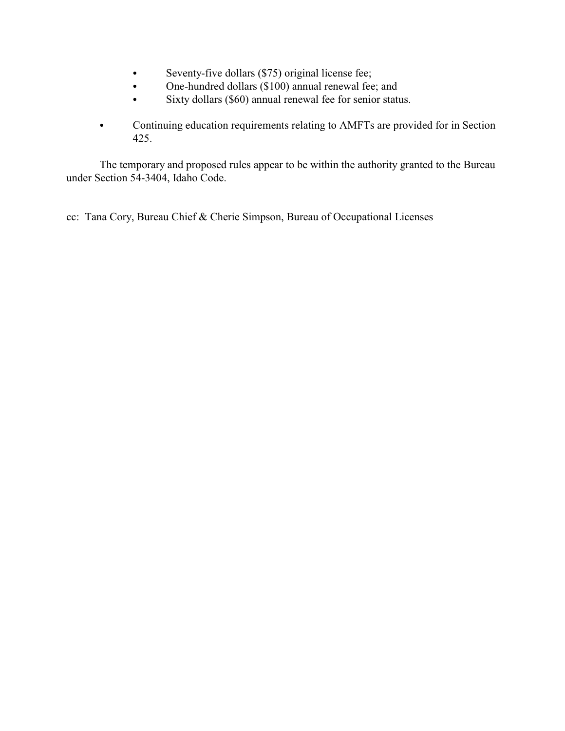- Seventy-five dollars (\$75) original license fee;
- One-hundred dollars (\$100) annual renewal fee; and
- Sixty dollars (\$60) annual renewal fee for senior status.
- Continuing education requirements relating to AMFTs are provided for in Section 425.

The temporary and proposed rules appear to be within the authority granted to the Bureau under Section 54-3404, Idaho Code.

cc: Tana Cory, Bureau Chief & Cherie Simpson, Bureau of Occupational Licenses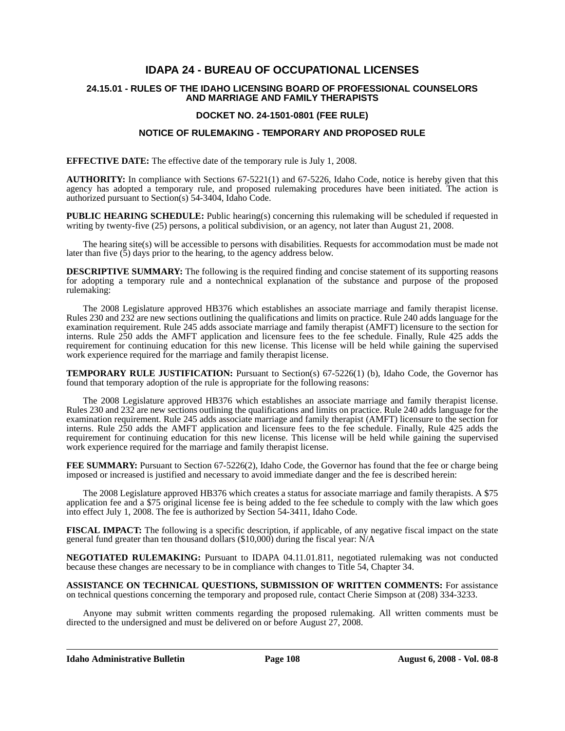# **IDAPA 24 - BUREAU OF OCCUPATIONAL LICENSES**

#### **24.15.01 - RULES OF THE IDAHO LICENSING BOARD OF PROFESSIONAL COUNSELORS AND MARRIAGE AND FAMILY THERAPISTS**

### **DOCKET NO. 24-1501-0801 (FEE RULE)**

### **NOTICE OF RULEMAKING - TEMPORARY AND PROPOSED RULE**

**EFFECTIVE DATE:** The effective date of the temporary rule is July 1, 2008.

**AUTHORITY:** In compliance with Sections 67-5221(1) and 67-5226, Idaho Code, notice is hereby given that this agency has adopted a temporary rule, and proposed rulemaking procedures have been initiated. The action is authorized pursuant to Section(s) 54-3404, Idaho Code.

**PUBLIC HEARING SCHEDULE:** Public hearing(s) concerning this rulemaking will be scheduled if requested in writing by twenty-five (25) persons, a political subdivision, or an agency, not later than August 21, 2008.

The hearing site(s) will be accessible to persons with disabilities. Requests for accommodation must be made not later than five  $(5)$  days prior to the hearing, to the agency address below.

**DESCRIPTIVE SUMMARY:** The following is the required finding and concise statement of its supporting reasons for adopting a temporary rule and a nontechnical explanation of the substance and purpose of the proposed rulemaking:

The 2008 Legislature approved HB376 which establishes an associate marriage and family therapist license. Rules 230 and 232 are new sections outlining the qualifications and limits on practice. Rule 240 adds language for the examination requirement. Rule 245 adds associate marriage and family therapist (AMFT) licensure to the section for interns. Rule 250 adds the AMFT application and licensure fees to the fee schedule. Finally, Rule 425 adds the requirement for continuing education for this new license. This license will be held while gaining the supervised work experience required for the marriage and family therapist license.

**TEMPORARY RULE JUSTIFICATION:** Pursuant to Section(s) 67-5226(1) (b), Idaho Code, the Governor has found that temporary adoption of the rule is appropriate for the following reasons:

The 2008 Legislature approved HB376 which establishes an associate marriage and family therapist license. Rules 230 and 232 are new sections outlining the qualifications and limits on practice. Rule 240 adds language for the examination requirement. Rule 245 adds associate marriage and family therapist (AMFT) licensure to the section for interns. Rule 250 adds the AMFT application and licensure fees to the fee schedule. Finally, Rule 425 adds the requirement for continuing education for this new license. This license will be held while gaining the supervised work experience required for the marriage and family therapist license.

**FEE SUMMARY:** Pursuant to Section 67-5226(2), Idaho Code, the Governor has found that the fee or charge being imposed or increased is justified and necessary to avoid immediate danger and the fee is described herein:

The 2008 Legislature approved HB376 which creates a status for associate marriage and family therapists. A \$75 application fee and a \$75 original license fee is being added to the fee schedule to comply with the law which goes into effect July 1, 2008. The fee is authorized by Section 54-3411, Idaho Code.

**FISCAL IMPACT:** The following is a specific description, if applicable, of any negative fiscal impact on the state general fund greater than ten thousand dollars (\$10,000) during the fiscal year: N/A

**NEGOTIATED RULEMAKING:** Pursuant to IDAPA 04.11.01.811, negotiated rulemaking was not conducted because these changes are necessary to be in compliance with changes to Title 54, Chapter 34.

**ASSISTANCE ON TECHNICAL QUESTIONS, SUBMISSION OF WRITTEN COMMENTS:** For assistance on technical questions concerning the temporary and proposed rule, contact Cherie Simpson at (208) 334-3233.

Anyone may submit written comments regarding the proposed rulemaking. All written comments must be directed to the undersigned and must be delivered on or before August 27, 2008.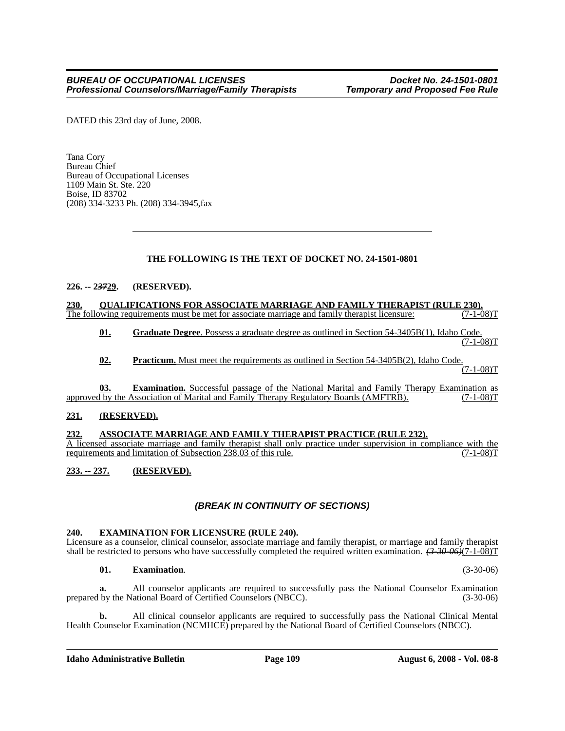DATED this 23rd day of June, 2008.

Tana Cory Bureau Chief Bureau of Occupational Licenses 1109 Main St. Ste. 220 Boise, ID 83702 (208) 334-3233 Ph. (208) 334-3945,fax

### **THE FOLLOWING IS THE TEXT OF DOCKET NO. 24-1501-0801**

### **226. -- 2***37***29. (RESERVED).**

**230. QUALIFICATIONS FOR ASSOCIATE MARRIAGE AND FAMILY THERAPIST (RULE 230).** The following requirements must be met for associate marriage and family therapist licensure:

**01. Graduate Degree**. Possess a graduate degree as outlined in Section 54-3405B(1), Idaho Code.  $(7-1-08)T$ 

**02. Practicum.** Must meet the requirements as outlined in Section 54-3405B(2), Idaho Code.

 $(7-1-08)T$ 

**03. Examination.** Successful passage of the National Marital and Family Therapy Examination as by the Association of Marital and Family Therapy Regulatory Boards (AMFTRB). (7-1-08) approved by the Association of Marital and Family Therapy Regulatory Boards (AMFTRB).

#### **231. (RESERVED).**

#### **232. ASSOCIATE MARRIAGE AND FAMILY THERAPIST PRACTICE (RULE 232).**

A licensed associate marriage and family therapist shall only practice under supervision in compliance with the requirements and limitation of Subsection 238.03 of this rule. (7-1-08)T

## **233. -- 237. (RESERVED).**

### *(BREAK IN CONTINUITY OF SECTIONS)*

#### **240. EXAMINATION FOR LICENSURE (RULE 240).**

Licensure as a counselor, clinical counselor, associate marriage and family therapist, or marriage and family therapist shall be restricted to persons who have successfully completed the required written examination. *(3-30-06)*(7-1-08)T

#### **01. Examination**. (3-30-06)

**a.** All counselor applicants are required to successfully pass the National Counselor Examination prepared by the National Board of Certified Counselors (NBCC). (3-30-06)

**b.** All clinical counselor applicants are required to successfully pass the National Clinical Mental Health Counselor Examination (NCMHCE) prepared by the National Board of Certified Counselors (NBCC).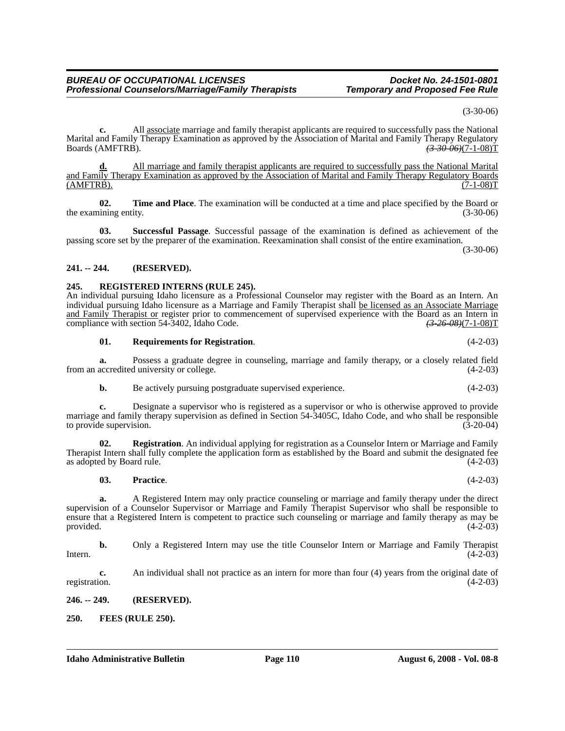*Professional Counselors/Marriage/Family Therapists* 

**c.** All associate marriage and family therapist applicants are required to successfully pass the National Marital and Family Therapy Examination as approved by the Association of Marital and Family Therapy Regulatory<br>Boards (AMFTRB).  $(3.30 \, \theta)$ Boards (AMFTRB). *(3-30-06)*(7-1-08)T

**d.** All marriage and family therapist applicants are required to successfully pass the National Marital and Family Therapy Examination as approved by the Association of Marital and Family Therapy Regulatory Boards  $(MFTRB)$ .  $(7-1-08)T$ 

**02. Time and Place**. The examination will be conducted at a time and place specified by the Board or the examining entity. (3-30-06) (3-30-06)

**03. Successful Passage**. Successful passage of the examination is defined as achievement of the passing score set by the preparer of the examination. Reexamination shall consist of the entire examination.

(3-30-06)

(3-30-06)

### **241. -- 244. (RESERVED).**

### **245. REGISTERED INTERNS (RULE 245).**

An individual pursuing Idaho licensure as a Professional Counselor may register with the Board as an Intern. An individual pursuing Idaho licensure as a Marriage and Family Therapist shall be licensed as an Associate Marriage and Family Therapist or register prior to commencement of supervised experience with the Board as an Intern in compliance with section 54-3402, Idaho Code. *(3-26-08)*(7-1-08)T

#### **01. Requirements for Registration**. (4-2-03)

**a.** Possess a graduate degree in counseling, marriage and family therapy, or a closely related field from an accredited university or college. (4-2-03)

**b.** Be actively pursuing postgraduate supervised experience. (4-2-03)

**c.** Designate a supervisor who is registered as a supervisor or who is otherwise approved to provide marriage and family therapy supervision as defined in Section 54-3405C, Idaho Code, and who shall be responsible to provide supervision. (3-20-04) to provide supervision.

**Registration**. An individual applying for registration as a Counselor Intern or Marriage and Family Therapist Intern shall fully complete the application form as established by the Board and submit the designated fee as adopted by Board rule. (4-2-03)

**03. Practice**. (4-2-03)

**a.** A Registered Intern may only practice counseling or marriage and family therapy under the direct supervision of a Counselor Supervisor or Marriage and Family Therapist Supervisor who shall be responsible to ensure that a Registered Intern is competent to practice such counseling or marriage and family therapy as may be provided. (4-2-03) provided.  $(4-2-03)$ 

**b.** Only a Registered Intern may use the title Counselor Intern or Marriage and Family Therapist Intern.  $(4-2-03)$ 

**c.** An individual shall not practice as an intern for more than four (4) years from the original date of registration. (4-2-03)

**246. -- 249. (RESERVED).**

**250. FEES (RULE 250).**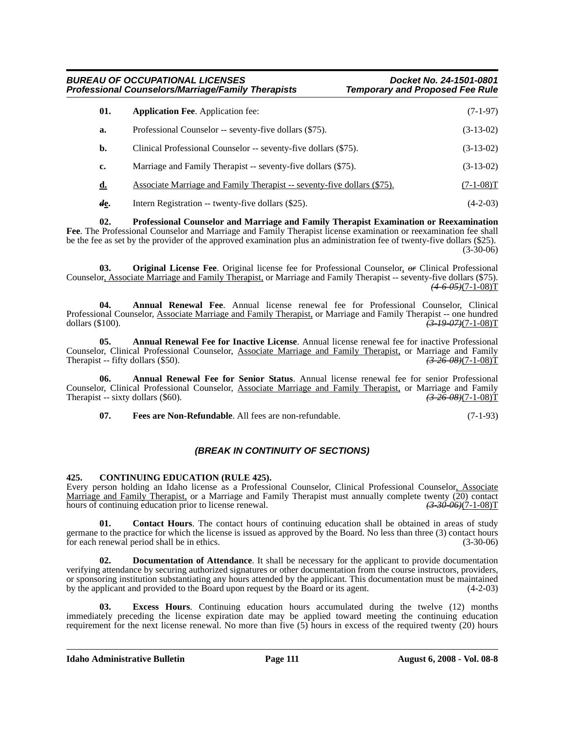### *BUREAU OF OCCUPATIONAL LICENSES Docket No. 24-1501-0801 Professional Counselors/Marriage/Family Therapists*

| 01.       | <b>Application Fee. Application fee:</b>                                | $(7-1-97)$  |
|-----------|-------------------------------------------------------------------------|-------------|
| a.        | Professional Counselor -- seventy-five dollars (\$75).                  | $(3-13-02)$ |
| b.        | Clinical Professional Counselor -- seventy-five dollars (\$75).         | $(3-13-02)$ |
| c.        | Marriage and Family Therapist -- seventy-five dollars (\$75).           | $(3-13-02)$ |
| <u>d.</u> | Associate Marriage and Family Therapist -- seventy-five dollars (\$75). | $(7-1-08)T$ |
| de.       | Intern Registration -- twenty-five dollars (\$25).                      | $(4-2-03)$  |

**02. Professional Counselor and Marriage and Family Therapist Examination or Reexamination Fee**. The Professional Counselor and Marriage and Family Therapist license examination or reexamination fee shall be the fee as set by the provider of the approved examination plus an administration fee of twenty-five dollars (\$25). (3-30-06)

**03. Original License Fee**. Original license fee for Professional Counselor, *or* Clinical Professional Counselor, Associate Marriage and Family Therapist, or Marriage and Family Therapist -- seventy-five dollars (\$75). *(4-6-05)*(7-1-08)T

**04. Annual Renewal Fee**. Annual license renewal fee for Professional Counselor, Clinical Professional Counselor, Associate Marriage and Family Therapist, or Marriage and Family Therapist -- one hundred dollars (\$100). *(3-19-07)*(7-1-08)T

**05. Annual Renewal Fee for Inactive License**. Annual license renewal fee for inactive Professional Counselor, Clinical Professional Counselor, Associate Marriage and Family Therapist, or Marriage and Family Therapist -- fifty dollars (\$50). Therapist -- fifty dollars (\$50).

**06. Annual Renewal Fee for Senior Status**. Annual license renewal fee for senior Professional Counselor, Clinical Professional Counselor, Associate Marriage and Family Therapist, or Marriage and Family Therapist -- sixty dollars (\$60). Therapist -- sixty dollars (\$60).

**07. Fees are Non-Refundable**. All fees are non-refundable. (7-1-93)

## *(BREAK IN CONTINUITY OF SECTIONS)*

### **425. CONTINUING EDUCATION (RULE 425).**

Every person holding an Idaho license as a Professional Counselor, Clinical Professional Counselor, Associate <u>Marriage and Family Therapist</u>, or a Marriage and Family Therapist must annually complete twenty (20) contact hours of continuing education prior to license renewal.  $\overline{(3.3006)(7-1-08)T}$ hours of continuing education prior to license renewal.

**01. Contact Hours**. The contact hours of continuing education shall be obtained in areas of study germane to the practice for which the license is issued as approved by the Board. No less than three (3) contact hours for each renewal period shall be in ethics. (3-30-06)

**02. Documentation of Attendance**. It shall be necessary for the applicant to provide documentation verifying attendance by securing authorized signatures or other documentation from the course instructors, providers, or sponsoring institution substantiating any hours attended by the applicant. This documentation must be maintained<br>by the applicant and provided to the Board upon request by the Board or its agent. (4-2-03) by the applicant and provided to the Board upon request by the Board or its agent.

**03. Excess Hours**. Continuing education hours accumulated during the twelve (12) months immediately preceding the license expiration date may be applied toward meeting the continuing education requirement for the next license renewal. No more than five  $(5)$  hours in excess of the required twenty (20) hours